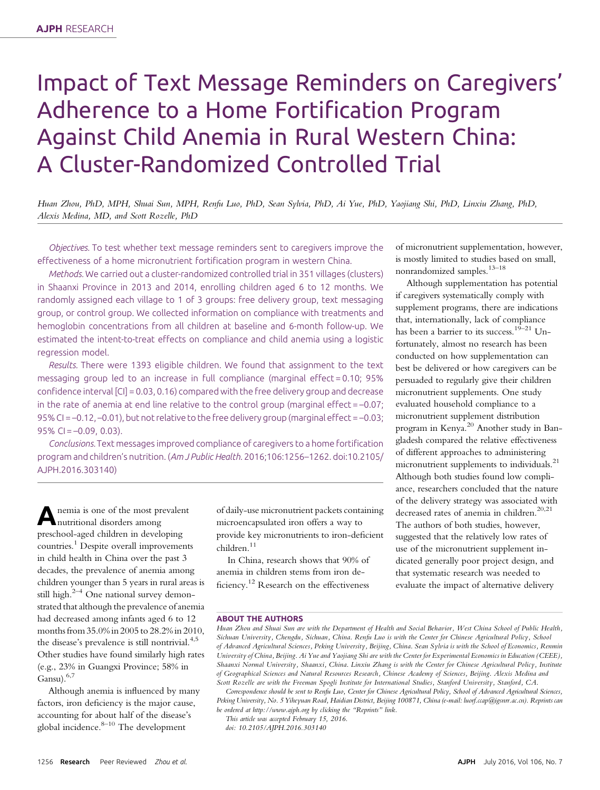# Impact of Text Message Reminders on Caregivers' Adherence to a Home Fortification Program Against Child Anemia in Rural Western China: A Cluster-Randomized Controlled Trial

Huan Zhou, PhD, MPH, Shuai Sun, MPH, Renfu Luo, PhD, Sean Sylvia, PhD, Ai Yue, PhD, Yaojiang Shi, PhD, Linxiu Zhang, PhD, Alexis Medina, MD, and Scott Rozelle, PhD

Objectives. To test whether text message reminders sent to caregivers improve the effectiveness of a home micronutrient fortification program in western China.

Methods. We carried out a cluster-randomized controlled trial in 351 villages (clusters) in Shaanxi Province in 2013 and 2014, enrolling children aged 6 to 12 months. We randomly assigned each village to 1 of 3 groups: free delivery group, text messaging group, or control group. We collected information on compliance with treatments and hemoglobin concentrations from all children at baseline and 6-month follow-up. We estimated the intent-to-treat effects on compliance and child anemia using a logistic regression model.

Results. There were 1393 eligible children. We found that assignment to the text messaging group led to an increase in full compliance (marginal effect = 0.10; 95% confidence interval [CI] = 0.03, 0.16) compared with the free delivery group and decrease in the rate of anemia at end line relative to the control group (marginal effect =  $-0.07$ ; 95% CI = –0.12, –0.01), but not relative to the free delivery group (marginal effect = –0.03; 95% CI =  $-0.09$ , 0.03).

Conclusions.Text messages improved compliance of caregivers to a home fortification program and children's nutrition. (Am J Public Health. 2016;106:1256–1262. doi:10.2105/ AJPH.2016.303140)

A nemia is one of the most prevalent nutritional disorders among preschool-aged children in developing countries.<sup>1</sup> Despite overall improvements in child health in China over the past 3 decades, the prevalence of anemia among children younger than 5 years in rural areas is still high. $2-4$  One national survey demonstrated that although the prevalence of anemia had decreased among infants aged 6 to 12 months from 35.0% in 2005 to 28.2% in 2010, the disease's prevalence is still nontrivial.<sup>4,5</sup> Other studies have found similarly high rates (e.g., 23% in Guangxi Province; 58% in Gansu). $6,7$ 

Although anemia is influenced by many factors, iron deficiency is the major cause, accounting for about half of the disease's global incidence.<sup>8-10</sup> The development

of daily-use micronutrient packets containing microencapsulated iron offers a way to provide key micronutrients to iron-deficient children.<sup>11</sup>

In China, research shows that 90% of anemia in children stems from iron deficiency.<sup>12</sup> Research on the effectiveness

of micronutrient supplementation, however, is mostly limited to studies based on small, nonrandomized samples.13–<sup>18</sup>

Although supplementation has potential if caregivers systematically comply with supplement programs, there are indications that, internationally, lack of compliance has been a barrier to its success.<sup>19–21</sup> Unfortunately, almost no research has been conducted on how supplementation can best be delivered or how caregivers can be persuaded to regularly give their children micronutrient supplements. One study evaluated household compliance to a micronutrient supplement distribution program in Kenya.<sup>20</sup> Another study in Bangladesh compared the relative effectiveness of different approaches to administering micronutrient supplements to individuals.<sup>21</sup> Although both studies found low compliance, researchers concluded that the nature of the delivery strategy was associated with decreased rates of anemia in children.<sup>20,21</sup> The authors of both studies, however, suggested that the relatively low rates of use of the micronutrient supplement indicated generally poor project design, and that systematic research was needed to evaluate the impact of alternative delivery

## ABOUT THE AUTHORS

Correspondence should be sent to Renfu Luo, Center for Chinese Agricultural Policy, School of Advanced Agricultural Sciences, Peking University, No. 5 Yiheyuan Road, Haidian District, Beijing 100871, China (e-mail: [luorf.ccap@igsnrr.ac.cn](mailto:luorf.ccap@igsnrr.ac.cn)). Reprints can be ordered at<http://www.ajph.org> by clicking the "Reprints" link.

This article was accepted February 15, 2016.

doi: 10.2105/AJPH.2016.303140

Huan Zhou and Shuai Sun are with the Department of Health and Social Behavior, West China School of Public Health, Sichuan University, Chengdu, Sichuan, China. Renfu Luo is with the Center for Chinese Agricultural Policy, School of Advanced Agricultural Sciences, Peking University, Beijing, China. Sean Sylvia is with the School of Economics, Renmin University of China, Beijing. Ai Yue and Yaojiang Shi are with the Center for Experimental Economics in Education (CEEE), Shaanxi Normal University, Shaanxi, China. Linxiu Zhang is with the Center for Chinese Agricultural Policy, Institute of Geographical Sciences and Natural Resources Research, Chinese Academy of Sciences, Beijing. Alexis Medina and Scott Rozelle are with the Freeman Spogli Institute for International Studies, Stanford University, Stanford, CA.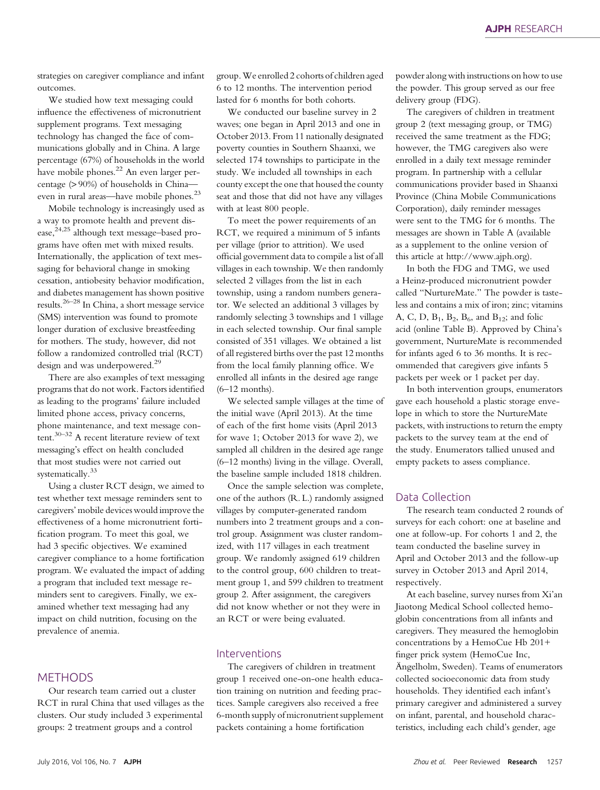strategies on caregiver compliance and infant outcomes.

We studied how text messaging could influence the effectiveness of micronutrient supplement programs. Text messaging technology has changed the face of communications globally and in China. A large percentage (67%) of households in the world have mobile phones.<sup>22</sup> An even larger percentage (> 90%) of households in China even in rural areas—have mobile phones.<sup>23</sup>

Mobile technology is increasingly used as a way to promote health and prevent disease,<sup>24,25</sup> although text message–based programs have often met with mixed results. Internationally, the application of text messaging for behavioral change in smoking cessation, antiobesity behavior modification, and diabetes management has shown positive results.26–<sup>28</sup> In China, a short message service (SMS) intervention was found to promote longer duration of exclusive breastfeeding for mothers. The study, however, did not follow a randomized controlled trial (RCT) design and was underpowered.<sup>29</sup>

There are also examples of text messaging programs that do not work. Factors identified as leading to the programs' failure included limited phone access, privacy concerns, phone maintenance, and text message content.30–<sup>32</sup> A recent literature review of text messaging's effect on health concluded that most studies were not carried out systematically.<sup>33</sup>

Using a cluster RCT design, we aimed to test whether text message reminders sent to caregivers' mobile devices would improve the effectiveness of a home micronutrient fortification program. To meet this goal, we had 3 specific objectives. We examined caregiver compliance to a home fortification program. We evaluated the impact of adding a program that included text message reminders sent to caregivers. Finally, we examined whether text messaging had any impact on child nutrition, focusing on the prevalence of anemia.

# **METHODS**

Our research team carried out a cluster RCT in rural China that used villages as the clusters. Our study included 3 experimental groups: 2 treatment groups and a control

group.We enrolled 2 cohorts of children aged 6 to 12 months. The intervention period lasted for 6 months for both cohorts.

We conducted our baseline survey in 2 waves; one began in April 2013 and one in October 2013. From 11 nationally designated poverty counties in Southern Shaanxi, we selected 174 townships to participate in the study. We included all townships in each county except the one that housed the county seat and those that did not have any villages with at least 800 people.

To meet the power requirements of an RCT, we required a minimum of 5 infants per village (prior to attrition). We used official government data to compile a list of all villages in each township. We then randomly selected 2 villages from the list in each township, using a random numbers generator. We selected an additional 3 villages by randomly selecting 3 townships and 1 village in each selected township. Our final sample consisted of 351 villages. We obtained a list of all registered births over the past 12 months from the local family planning office. We enrolled all infants in the desired age range (6–12 months).

We selected sample villages at the time of the initial wave (April 2013). At the time of each of the first home visits (April 2013 for wave 1; October 2013 for wave 2), we sampled all children in the desired age range (6–12 months) living in the village. Overall, the baseline sample included 1818 children.

Once the sample selection was complete, one of the authors (R. L.) randomly assigned villages by computer-generated random numbers into 2 treatment groups and a control group. Assignment was cluster randomized, with 117 villages in each treatment group. We randomly assigned 619 children to the control group, 600 children to treatment group 1, and 599 children to treatment group 2. After assignment, the caregivers did not know whether or not they were in an RCT or were being evaluated.

# Interventions

The caregivers of children in treatment group 1 received one-on-one health education training on nutrition and feeding practices. Sample caregivers also received a free 6-month supply of micronutrient supplement packets containing a home fortification

powder along with instructions on how to use the powder. This group served as our free delivery group (FDG).

The caregivers of children in treatment group 2 (text messaging group, or TMG) received the same treatment as the FDG; however, the TMG caregivers also were enrolled in a daily text message reminder program. In partnership with a cellular communications provider based in Shaanxi Province (China Mobile Communications Corporation), daily reminder messages were sent to the TMG for 6 months. The messages are shown in Table A (available as a supplement to the online version of this article at [http://www.ajph.org\)](http://www.ajph.org).

In both the FDG and TMG, we used a Heinz-produced micronutrient powder called "NurtureMate." The powder is tasteless and contains a mix of iron; zinc; vitamins A, C, D,  $B_1$ ,  $B_2$ ,  $B_6$ , and  $B_{12}$ ; and folic acid (online Table B). Approved by China's government, NurtureMate is recommended for infants aged 6 to 36 months. It is recommended that caregivers give infants 5 packets per week or 1 packet per day.

In both intervention groups, enumerators gave each household a plastic storage envelope in which to store the NurtureMate packets, with instructions to return the empty packets to the survey team at the end of the study. Enumerators tallied unused and empty packets to assess compliance.

# Data Collection

The research team conducted 2 rounds of surveys for each cohort: one at baseline and one at follow-up. For cohorts 1 and 2, the team conducted the baseline survey in April and October 2013 and the follow-up survey in October 2013 and April 2014, respectively.

At each baseline, survey nurses from Xi'an Jiaotong Medical School collected hemoglobin concentrations from all infants and caregivers. They measured the hemoglobin concentrations by a HemoCue Hb 201+ finger prick system (HemoCue Inc, Angelholm, Sweden). Teams of enumerators ¨ collected socioeconomic data from study households. They identified each infant's primary caregiver and administered a survey on infant, parental, and household characteristics, including each child's gender, age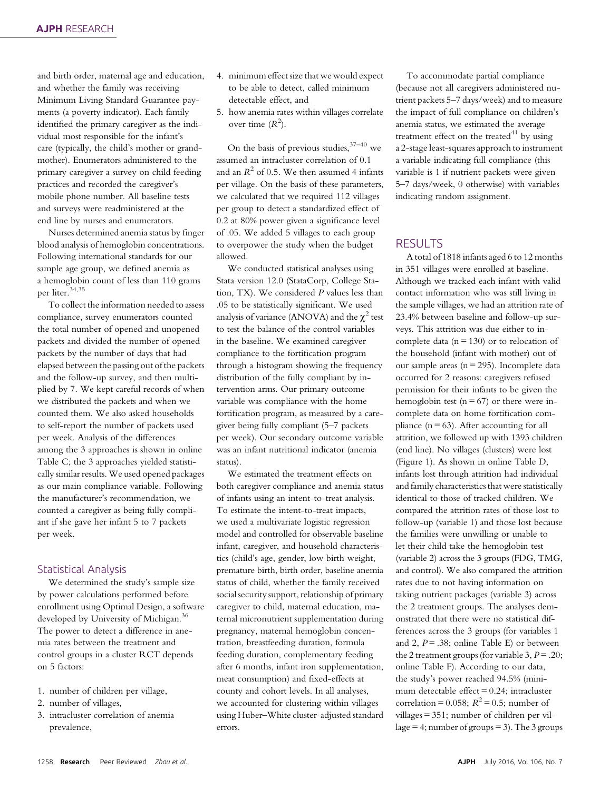and birth order, maternal age and education, and whether the family was receiving Minimum Living Standard Guarantee payments (a poverty indicator). Each family identified the primary caregiver as the individual most responsible for the infant's care (typically, the child's mother or grandmother). Enumerators administered to the primary caregiver a survey on child feeding practices and recorded the caregiver's mobile phone number. All baseline tests and surveys were readministered at the end line by nurses and enumerators.

Nurses determined anemia status by finger blood analysis of hemoglobin concentrations. Following international standards for our sample age group, we defined anemia as a hemoglobin count of less than 110 grams per liter.<sup>34,35</sup>

To collect the information needed to assess compliance, survey enumerators counted the total number of opened and unopened packets and divided the number of opened packets by the number of days that had elapsed between the passing out of the packets and the follow-up survey, and then multiplied by 7. We kept careful records of when we distributed the packets and when we counted them. We also asked households to self-report the number of packets used per week. Analysis of the differences among the 3 approaches is shown in online Table C; the 3 approaches yielded statistically similar results. We used opened packages as our main compliance variable. Following the manufacturer's recommendation, we counted a caregiver as being fully compliant if she gave her infant 5 to 7 packets per week.

# Statistical Analysis

We determined the study's sample size by power calculations performed before enrollment using Optimal Design, a software developed by University of Michigan.<sup>36</sup> The power to detect a difference in anemia rates between the treatment and control groups in a cluster RCT depends on 5 factors:

- 1. number of children per village,
- 2. number of villages,
- 3. intracluster correlation of anemia prevalence,
- 4. minimum effect size that we would expect to be able to detect, called minimum detectable effect, and
- 5. how anemia rates within villages correlate over time  $(R^2)$ .

On the basis of previous studies,  $37-40$  we assumed an intracluster correlation of 0.1 and an  $R^2$  of 0.5. We then assumed 4 infants per village. On the basis of these parameters, we calculated that we required 112 villages per group to detect a standardized effect of 0.2 at 80% power given a significance level of .05. We added 5 villages to each group to overpower the study when the budget allowed.

We conducted statistical analyses using Stata version 12.0 (StataCorp, College Station, TX). We considered P values less than .05 to be statistically significant. We used analysis of variance (ANOVA) and the  $\chi^2$  test to test the balance of the control variables in the baseline. We examined caregiver compliance to the fortification program through a histogram showing the frequency distribution of the fully compliant by intervention arms. Our primary outcome variable was compliance with the home fortification program, as measured by a caregiver being fully compliant (5–7 packets per week). Our secondary outcome variable was an infant nutritional indicator (anemia status).

We estimated the treatment effects on both caregiver compliance and anemia status of infants using an intent-to-treat analysis. To estimate the intent-to-treat impacts, we used a multivariate logistic regression model and controlled for observable baseline infant, caregiver, and household characteristics (child's age, gender, low birth weight, premature birth, birth order, baseline anemia status of child, whether the family received social security support, relationship of primary caregiver to child, maternal education, maternal micronutrient supplementation during pregnancy, maternal hemoglobin concentration, breastfeeding duration, formula feeding duration, complementary feeding after 6 months, infant iron supplementation, meat consumption) and fixed-effects at county and cohort levels. In all analyses, we accounted for clustering within villages using Huber–White cluster-adjusted standard errors.

To accommodate partial compliance (because not all caregivers administered nutrient packets 5–7 days/week) and to measure the impact of full compliance on children's anemia status, we estimated the average treatment effect on the treated $41$  by using a 2-stage least-squares approach to instrument a variable indicating full compliance (this variable is 1 if nutrient packets were given 5–7 days/week, 0 otherwise) with variables indicating random assignment.

# RESULTS

A total of 1818 infants aged 6 to 12 months in 351 villages were enrolled at baseline. Although we tracked each infant with valid contact information who was still living in the sample villages, we had an attrition rate of 23.4% between baseline and follow-up surveys. This attrition was due either to incomplete data ( $n = 130$ ) or to relocation of the household (infant with mother) out of our sample areas ( $n = 295$ ). Incomplete data occurred for 2 reasons: caregivers refused permission for their infants to be given the hemoglobin test ( $n = 67$ ) or there were incomplete data on home fortification compliance  $(n = 63)$ . After accounting for all attrition, we followed up with 1393 children (end line). No villages (clusters) were lost (Figure 1). As shown in online Table D, infants lost through attrition had individual and family characteristics that were statistically identical to those of tracked children. We compared the attrition rates of those lost to follow-up (variable 1) and those lost because the families were unwilling or unable to let their child take the hemoglobin test (variable 2) across the 3 groups (FDG, TMG, and control). We also compared the attrition rates due to not having information on taking nutrient packages (variable 3) across the 2 treatment groups. The analyses demonstrated that there were no statistical differences across the 3 groups (for variables 1 and 2,  $P = .38$ ; online Table E) or between the 2 treatment groups (for variable 3,  $P = .20$ ; online Table F). According to our data, the study's power reached 94.5% (minimum detectable effect  $= 0.24$ ; intracluster correlation = 0.058;  $R^2$  = 0.5; number of villages = 351; number of children per village  $= 4$ ; number of groups  $= 3$ ). The 3 groups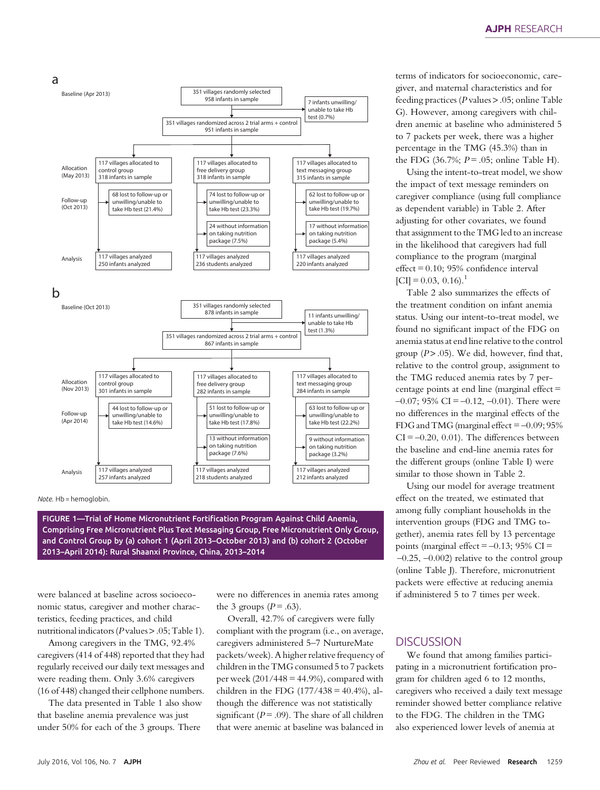

Note. Hb = hemoglobin.

FIGURE 1—Trial of Home Micronutrient Fortification Program Against Child Anemia, Comprising Free Micronutrient Plus Text Messaging Group, Free Micronutrient Only Group, and Control Group by (a) cohort 1 (April 2013–October 2013) and (b) cohort 2 (October 2013–April 2014): Rural Shaanxi Province, China, 2013–2014

were balanced at baseline across socioeconomic status, caregiver and mother characteristics, feeding practices, and child nutritional indicators ( $P$  values  $> 0.05$ ; Table 1).

Among caregivers in the TMG, 92.4% caregivers (414 of 448) reported that they had regularly received our daily text messages and were reading them. Only 3.6% caregivers (16 of 448) changed their cellphone numbers.

The data presented in Table 1 also show that baseline anemia prevalence was just under 50% for each of the 3 groups. There

were no differences in anemia rates among the 3 groups  $(P = .63)$ .

Overall, 42.7% of caregivers were fully compliant with the program (i.e., on average, caregivers administered 5–7 NurtureMate packets/week). A higher relative frequency of children in the TMG consumed 5 to 7 packets per week  $(201/448 = 44.9%)$ , compared with children in the FDG  $(177/438 = 40.4\%)$ , although the difference was not statistically significant ( $P = .09$ ). The share of all children that were anemic at baseline was balanced in

terms of indicators for socioeconomic, caregiver, and maternal characteristics and for feeding practices ( $P$  values  $> .05$ ; online Table G). However, among caregivers with children anemic at baseline who administered 5 to 7 packets per week, there was a higher percentage in the TMG (45.3%) than in the FDG  $(36.7\%; P=.05;$  online Table H).

Using the intent-to-treat model, we show the impact of text message reminders on caregiver compliance (using full compliance as dependent variable) in Table 2. After adjusting for other covariates, we found that assignment to the TMG led to an increase in the likelihood that caregivers had full compliance to the program (marginal effect = 0.10; 95% confidence interval  $[CI] = 0.03, 0.16$ .<sup>1</sup>

Table 2 also summarizes the effects of the treatment condition on infant anemia status. Using our intent-to-treat model, we found no significant impact of the FDG on anemia status at end line relative to the control group  $(P > .05)$ . We did, however, find that, relative to the control group, assignment to the TMG reduced anemia rates by 7 percentage points at end line (marginal effect =  $-0.07$ ; 95% CI =  $-0.12$ ,  $-0.01$ ). There were no differences in the marginal effects of the FDG and TMG (marginal effect  $=$  -0.09; 95%  $CI = -0.20, 0.01$ . The differences between the baseline and end-line anemia rates for the different groups (online Table I) were similar to those shown in Table 2.

Using our model for average treatment effect on the treated, we estimated that among fully compliant households in the intervention groups (FDG and TMG together), anemia rates fell by 13 percentage points (marginal effect  $=$  -0.13; 95% CI  $=$ –0.25, –0.002) relative to the control group (online Table J). Therefore, micronutrient packets were effective at reducing anemia if administered 5 to 7 times per week.

# **DISCUSSION**

We found that among families participating in a micronutrient fortification program for children aged 6 to 12 months, caregivers who received a daily text message reminder showed better compliance relative to the FDG. The children in the TMG also experienced lower levels of anemia at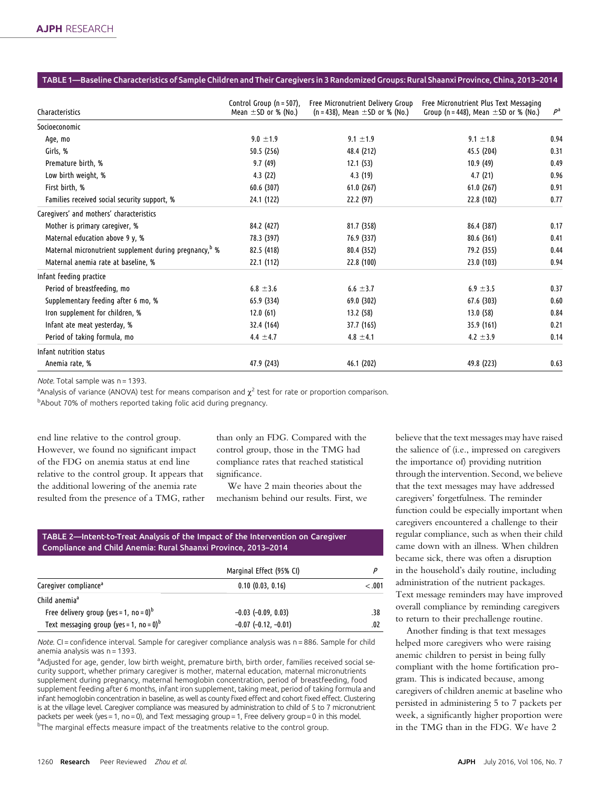## TABLE 1—Baseline Characteristics of Sample Children and Their Caregivers in 3 Randomized Groups: Rural Shaanxi Province, China, 2013–2014

| Characteristics                                                    | Control Group ( $n = 507$ ),<br>Mean $\pm$ SD or % (No.) | Free Micronutrient Delivery Group<br>$(n = 438)$ , Mean $\pm$ SD or % (No.) | Free Micronutrient Plus Text Messaging<br>Group (n = 448), Mean $\pm$ SD or % (No.) | $P^a$ |
|--------------------------------------------------------------------|----------------------------------------------------------|-----------------------------------------------------------------------------|-------------------------------------------------------------------------------------|-------|
| Socioeconomic                                                      |                                                          |                                                                             |                                                                                     |       |
| Age, mo                                                            | $9.0 \pm 1.9$                                            | $9.1 \pm 1.9$                                                               | $9.1 \pm 1.8$                                                                       | 0.94  |
| Girls, %                                                           | 50.5 (256)                                               | 48.4 (212)                                                                  | 45.5 (204)                                                                          | 0.31  |
| Premature birth, %                                                 | 9.7(49)                                                  | 12.1(53)                                                                    | 10.9(49)                                                                            | 0.49  |
| Low birth weight, %                                                | 4.3(22)                                                  | 4.3 (19)                                                                    | 4.7(21)                                                                             | 0.96  |
| First birth, %                                                     | 60.6(307)                                                | 61.0(267)                                                                   | 61.0(267)                                                                           | 0.91  |
| Families received social security support, %                       | 24.1 (122)                                               | 22.2 (97)                                                                   | 22.8(102)                                                                           | 0.77  |
| Caregivers' and mothers' characteristics                           |                                                          |                                                                             |                                                                                     |       |
| Mother is primary caregiver, %                                     | 84.2 (427)                                               | 81.7 (358)                                                                  | 86.4 (387)                                                                          | 0.17  |
| Maternal education above 9 y, %                                    | 78.3 (397)                                               | 76.9 (337)                                                                  | 80.6(361)                                                                           | 0.41  |
| Maternal micronutrient supplement during pregnancy, <sup>b</sup> % | 82.5 (418)                                               | 80.4 (352)                                                                  | 79.2 (355)                                                                          | 0.44  |
| Maternal anemia rate at baseline, %                                | 22.1 (112)                                               | 22.8(100)                                                                   | 23.0(103)                                                                           | 0.94  |
| Infant feeding practice                                            |                                                          |                                                                             |                                                                                     |       |
| Period of breastfeeding, mo                                        | $6.8 \pm 3.6$                                            | $6.6 \pm 3.7$                                                               | 6.9 $\pm$ 3.5                                                                       | 0.37  |
| Supplementary feeding after 6 mo, %                                | 65.9 (334)                                               | 69.0(302)                                                                   | 67.6 (303)                                                                          | 0.60  |
| Iron supplement for children, %                                    | 12.0(61)                                                 | 13.2 (58)                                                                   | 13.0(58)                                                                            | 0.84  |
| Infant ate meat yesterday, %                                       | 32.4 (164)                                               | 37.7 (165)                                                                  | 35.9 (161)                                                                          | 0.21  |
| Period of taking formula, mo                                       | $4.4 \pm 4.7$                                            | $4.8 \pm 4.1$                                                               | 4.2 $\pm$ 3.9                                                                       | 0.14  |
| Infant nutrition status                                            |                                                          |                                                                             |                                                                                     |       |
| Anemia rate, %                                                     | 47.9 (243)                                               | 46.1 (202)                                                                  | 49.8 (223)                                                                          | 0.63  |

Note. Total sample was n = 1393.

<sup>a</sup>Analysis of variance (ANOVA) test for means comparison and  $\chi^2$  test for rate or proportion comparison. b About 70% of mothers reported taking folic acid during pregnancy.

end line relative to the control group. However, we found no significant impact of the FDG on anemia status at end line relative to the control group. It appears that the additional lowering of the anemia rate resulted from the presence of a TMG, rather than only an FDG. Compared with the control group, those in the TMG had compliance rates that reached statistical significance.

We have 2 main theories about the mechanism behind our results. First, we

TABLE 2—Intent-to-Treat Analysis of the Impact of the Intervention on Caregiver Compliance and Child Anemia: Rural Shaanxi Province, 2013–2014

|                                                        | Marginal Effect (95% CI) |         |
|--------------------------------------------------------|--------------------------|---------|
| Caregiver compliance <sup>a</sup>                      | 0.10(0.03, 0.16)         | $-.001$ |
| Child anemia <sup>a</sup>                              |                          |         |
| Free delivery group (yes = 1, no = 0) <sup>b</sup>     | $-0.03$ $(-0.09, 0.03)$  | .38     |
| Text messaging group (yes = 1, no = $0$ ) <sup>b</sup> | $-0.07$ $(-0.12, -0.01)$ | .02     |

Note. CI = confidence interval. Sample for caregiver compliance analysis was n = 886. Sample for child anemia analysis was n = 1393.

adjusted for age, gender, low birth weight, premature birth, birth order, families received social security support, whether primary caregiver is mother, maternal education, maternal micronutrients supplement during pregnancy, maternal hemoglobin concentration, period of breastfeeding, food supplement feeding after 6 months, infant iron supplement, taking meat, period of taking formula and infant hemoglobin concentration in baseline, as well as county fixed effect and cohort fixed effect. Clustering is at the village level. Caregiver compliance was measured by administration to child of 5 to 7 micronutrient packets per week (yes = 1, no = 0), and Text messaging group = 1, Free delivery group = 0 in this model. <sup>b</sup>The marginal effects measure impact of the treatments relative to the control group.

believe that the text messages may have raised the salience of (i.e., impressed on caregivers the importance of) providing nutrition through the intervention. Second, we believe that the text messages may have addressed caregivers' forgetfulness. The reminder function could be especially important when caregivers encountered a challenge to their regular compliance, such as when their child came down with an illness. When children became sick, there was often a disruption in the household's daily routine, including administration of the nutrient packages. Text message reminders may have improved overall compliance by reminding caregivers to return to their prechallenge routine.

Another finding is that text messages helped more caregivers who were raising anemic children to persist in being fully compliant with the home fortification program. This is indicated because, among caregivers of children anemic at baseline who persisted in administering 5 to 7 packets per week, a significantly higher proportion were in the TMG than in the FDG. We have 2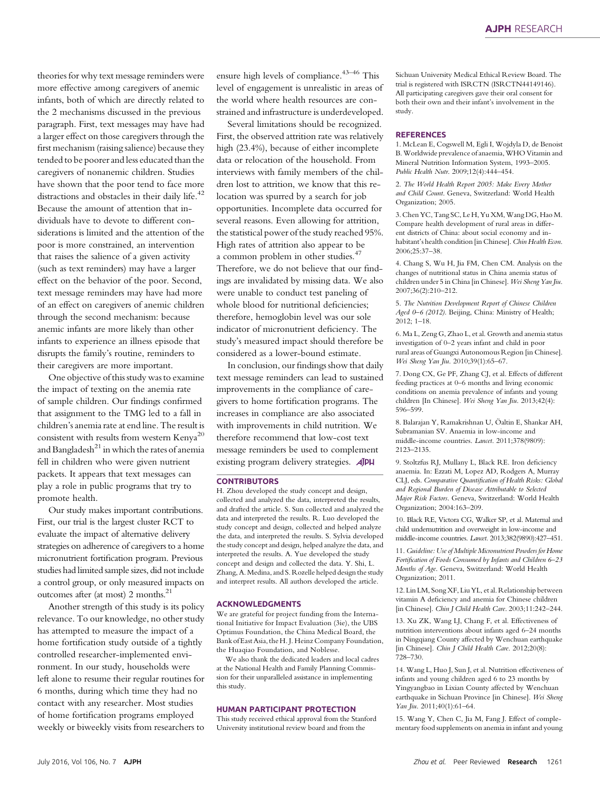theories for why text message reminders were more effective among caregivers of anemic infants, both of which are directly related to the 2 mechanisms discussed in the previous paragraph. First, text messages may have had a larger effect on those caregivers through the first mechanism (raising salience) because they tended to be poorer and less educated than the caregivers of nonanemic children. Studies have shown that the poor tend to face more distractions and obstacles in their daily life.<sup>42</sup> Because the amount of attention that individuals have to devote to different considerations is limited and the attention of the poor is more constrained, an intervention that raises the salience of a given activity (such as text reminders) may have a larger effect on the behavior of the poor. Second, text message reminders may have had more of an effect on caregivers of anemic children through the second mechanism: because anemic infants are more likely than other infants to experience an illness episode that disrupts the family's routine, reminders to their caregivers are more important.

One objective of this study was to examine the impact of texting on the anemia rate of sample children. Our findings confirmed that assignment to the TMG led to a fall in children's anemia rate at end line. The result is consistent with results from western  $Kenva^{20}$ and Bangladesh $^{21}$  in which the rates of anemia fell in children who were given nutrient packets. It appears that text messages can play a role in public programs that try to promote health.

Our study makes important contributions. First, our trial is the largest cluster RCT to evaluate the impact of alternative delivery strategies on adherence of caregivers to a home micronutrient fortification program. Previous studies had limited sample sizes, did not include a control group, or only measured impacts on outcomes after (at most) 2 months.<sup>21</sup>

Another strength of this study is its policy relevance. To our knowledge, no other study has attempted to measure the impact of a home fortification study outside of a tightly controlled researcher-implemented environment. In our study, households were left alone to resume their regular routines for 6 months, during which time they had no contact with any researcher. Most studies of home fortification programs employed weekly or biweekly visits from researchers to

ensure high levels of compliance.<sup>43-46</sup> This level of engagement is unrealistic in areas of the world where health resources are constrained and infrastructure is underdeveloped.

Several limitations should be recognized. First, the observed attrition rate was relatively high (23.4%), because of either incomplete data or relocation of the household. From interviews with family members of the children lost to attrition, we know that this relocation was spurred by a search for job opportunities. Incomplete data occurred for several reasons. Even allowing for attrition, the statistical power of the study reached 95%. High rates of attrition also appear to be a common problem in other studies.<sup>47</sup> Therefore, we do not believe that our findings are invalidated by missing data. We also were unable to conduct test paneling of whole blood for nutritional deficiencies; therefore, hemoglobin level was our sole indicator of micronutrient deficiency. The study's measured impact should therefore be considered as a lower-bound estimate.

In conclusion, our findings show that daily text message reminders can lead to sustained improvements in the compliance of caregivers to home fortification programs. The increases in compliance are also associated with improvements in child nutrition. We therefore recommend that low-cost text message reminders be used to complement existing program delivery strategies. **AJPH** 

## **CONTRIBUTORS**

H. Zhou developed the study concept and design, collected and analyzed the data, interpreted the results, and drafted the article. S. Sun collected and analyzed the data and interpreted the results. R. Luo developed the study concept and design, collected and helped analyze the data, and interpreted the results. S. Sylvia developed the study concept and design, helped analyze the data, and interpreted the results. A. Yue developed the study concept and design and collected the data. Y. Shi, L. Zhang, A. Medina, and S. Rozelle helped design the study and interpret results. All authors developed the article.

#### ACKNOWLEDGMENTS

We are grateful for project funding from the International Initiative for Impact Evaluation (3ie), the UBS Optimus Foundation, the China Medical Board, the Bank of EastAsia,theH. J. Heinz Company Foundation, the Huaqiao Foundation, and Noblesse.

We also thank the dedicated leaders and local cadres at the National Health and Family Planning Commission for their unparalleled assistance in implementing this study.

## HUMAN PARTICIPANT PROTECTION

This study received ethical approval from the Stanford University institutional review board and from the

Sichuan University Medical Ethical Review Board. The trial is registered with ISRCTN (ISRCTN44149146). All participating caregivers gave their oral consent for both their own and their infant's involvement in the study.

#### **REFERENCES**

1. McLean E, Cogswell M, Egli I, Wojdyla D, de Benoist B.Worldwide prevalence of anaemia,WHO Vitamin and Mineral Nutrition Information System, 1993–2005. Public Health Nutr. 2009;12(4):444–454.

2. The World Health Report 2005: Make Every Mother and Child Count. Geneva, Switzerland: World Health Organization; 2005.

3. Chen YC, Tang SC, Le H, Yu XM, Wang DG, Hao M. Compare health development of rural areas in different districts of China: about social economy and inhabitant's health condition [in Chinese]. Chin Health Econ. 2006;25:37–38.

4. Chang S, Wu H, Jia FM, Chen CM. Analysis on the changes of nutritional status in China anemia status of children under 5 in China [in Chinese]. Wei Sheng Yan Jiu. 2007;36(2):210–212.

5. The Nutrition Development Report of Chinese Children Aged 0-6 (2012). Beijing, China: Ministry of Health; 2012; 1–18.

6. Ma L, Zeng G, Zhao L, et al. Growth and anemia status investigation of 0–2 years infant and child in poor rural areas of Guangxi Autonomous Region [in Chinese]. Wei Sheng Yan Jiu. 2010;39(1):65–67.

7. Dong CX, Ge PF, Zhang CJ, et al. Effects of different feeding practices at 0–6 months and living economic conditions on anemia prevalence of infants and young children [In Chinese]. Wei Sheng Yan Jiu. 2013;42(4): 596–599.

8. Balarajan Y, Ramakrishnan U, Öaltin E, Shankar AH, Subramanian SV. Anaemia in low-income and middle-income countries. Lancet. 2011;378(9809): 2123–2135.

9. Stoltzfus RJ, Mullany L, Black RE. Iron deficiency anaemia. In: Ezzati M, Lopez AD, Rodgers A, Murray CLJ, eds. Comparative Quantification of Health Risks: Global and Regional Burden of Disease Attributable to Selected Major Risk Factors. Geneva, Switzerland: World Health Organization; 2004:163–209.

10. Black RE, Victora CG, Walker SP, et al. Maternal and child undernutrition and overweight in low-income and middle-income countries. Lancet. 2013;382(9890):427–451.

11. Guideline: Use of Multiple Micronutrient Powders for Home Fortification of Foods Consumed by Infants and Children 6–23 Months of Age. Geneva, Switzerland: World Health Organization; 2011.

12. Lin LM, Song XF, Liu YL, et al. Relationship between vitamin A deficiency and anemia for Chinese children [in Chinese]. Chin J Child Health Care. 2003;11:242–244.

13. Xu ZK, Wang LJ, Chang F, et al. Effectiveness of nutrition interventions about infants aged 6–24 months in Ningqiang County affected by Wenchuan earthquake [in Chinese]. Chin J Child Health Care. 2012;20(8): 728–730.

14. Wang L, Huo J, Sun J, et al. Nutrition effectiveness of infants and young children aged 6 to 23 months by Yingyangbao in Lixian County affected by Wenchuan earthquake in Sichuan Province [in Chinese]. Wei Sheng Yan Jiu. 2011;40(1):61–64.

15. Wang Y, Chen C, Jia M, Fang J. Effect of complementary food supplements on anemia in infant and young